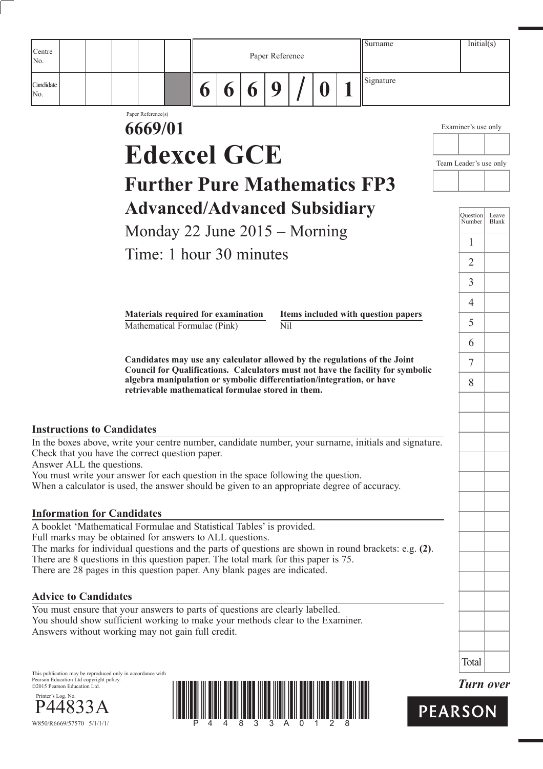| Centre<br>No.                                                                                                                                               |  |                               |                                                                                                                                                                                                                             |   |   |   | Paper Reference |   | Surname                                                                                                                                                                                              |                           | Initial(s)            |
|-------------------------------------------------------------------------------------------------------------------------------------------------------------|--|-------------------------------|-----------------------------------------------------------------------------------------------------------------------------------------------------------------------------------------------------------------------------|---|---|---|-----------------|---|------------------------------------------------------------------------------------------------------------------------------------------------------------------------------------------------------|---------------------------|-----------------------|
| Candidate<br>No.                                                                                                                                            |  |                               |                                                                                                                                                                                                                             | 6 | 6 | 6 | 9               | 0 | Signature                                                                                                                                                                                            |                           |                       |
|                                                                                                                                                             |  | Paper Reference(s)<br>6669/01 |                                                                                                                                                                                                                             |   |   |   |                 |   |                                                                                                                                                                                                      | Examiner's use only       |                       |
|                                                                                                                                                             |  |                               |                                                                                                                                                                                                                             |   |   |   |                 |   |                                                                                                                                                                                                      |                           |                       |
|                                                                                                                                                             |  |                               | <b>Edexcel GCE</b>                                                                                                                                                                                                          |   |   |   |                 |   |                                                                                                                                                                                                      | Team Leader's use only    |                       |
|                                                                                                                                                             |  |                               |                                                                                                                                                                                                                             |   |   |   |                 |   | <b>Further Pure Mathematics FP3</b>                                                                                                                                                                  |                           |                       |
|                                                                                                                                                             |  |                               | <b>Advanced/Advanced Subsidiary</b>                                                                                                                                                                                         |   |   |   |                 |   |                                                                                                                                                                                                      | <b>Question</b><br>Number | Leave<br><b>Blank</b> |
|                                                                                                                                                             |  |                               | Monday 22 June $2015 -$ Morning                                                                                                                                                                                             |   |   |   |                 |   |                                                                                                                                                                                                      | 1                         |                       |
|                                                                                                                                                             |  |                               | Time: 1 hour 30 minutes                                                                                                                                                                                                     |   |   |   |                 |   |                                                                                                                                                                                                      | 2                         |                       |
|                                                                                                                                                             |  |                               |                                                                                                                                                                                                                             |   |   |   |                 |   |                                                                                                                                                                                                      | 3                         |                       |
|                                                                                                                                                             |  |                               |                                                                                                                                                                                                                             |   |   |   |                 |   |                                                                                                                                                                                                      | 4                         |                       |
|                                                                                                                                                             |  |                               | Materials required for examination<br>Mathematical Formulae (Pink)                                                                                                                                                          |   |   |   | Nil             |   | Items included with question papers                                                                                                                                                                  | 5                         |                       |
|                                                                                                                                                             |  |                               |                                                                                                                                                                                                                             |   |   |   |                 |   |                                                                                                                                                                                                      | 6                         |                       |
|                                                                                                                                                             |  |                               |                                                                                                                                                                                                                             |   |   |   |                 |   | Candidates may use any calculator allowed by the regulations of the Joint<br>Council for Qualifications. Calculators must not have the facility for symbolic                                         | 7                         |                       |
|                                                                                                                                                             |  |                               | retrievable mathematical formulae stored in them.                                                                                                                                                                           |   |   |   |                 |   | algebra manipulation or symbolic differentiation/integration, or have                                                                                                                                | 8                         |                       |
| <b>Instructions to Candidates</b><br>Answer ALL the questions.                                                                                              |  |                               | Check that you have the correct question paper.<br>You must write your answer for each question in the space following the question.                                                                                        |   |   |   |                 |   | In the boxes above, write your centre number, candidate number, your surname, initials and signature.<br>When a calculator is used, the answer should be given to an appropriate degree of accuracy. |                           |                       |
| <b>Information for Candidates</b>                                                                                                                           |  |                               | A booklet 'Mathematical Formulae and Statistical Tables' is provided.                                                                                                                                                       |   |   |   |                 |   |                                                                                                                                                                                                      |                           |                       |
|                                                                                                                                                             |  |                               | Full marks may be obtained for answers to ALL questions.<br>There are 8 questions in this question paper. The total mark for this paper is 75.<br>There are 28 pages in this question paper. Any blank pages are indicated. |   |   |   |                 |   | The marks for individual questions and the parts of questions are shown in round brackets: e.g. (2).                                                                                                 |                           |                       |
| <b>Advice to Candidates</b>                                                                                                                                 |  |                               |                                                                                                                                                                                                                             |   |   |   |                 |   |                                                                                                                                                                                                      |                           |                       |
|                                                                                                                                                             |  |                               | You must ensure that your answers to parts of questions are clearly labelled.<br>You should show sufficient working to make your methods clear to the Examiner.<br>Answers without working may not gain full credit.        |   |   |   |                 |   |                                                                                                                                                                                                      |                           |                       |
|                                                                                                                                                             |  |                               |                                                                                                                                                                                                                             |   |   |   |                 |   |                                                                                                                                                                                                      | Total                     |                       |
| This publication may be reproduced only in accordance with<br>Pearson Education Ltd copyright policy.<br>©2015 Pearson Education Ltd.<br>Printer's Log. No. |  |                               |                                                                                                                                                                                                                             |   |   |   |                 |   |                                                                                                                                                                                                      |                           | <b>Turn over</b>      |
| W850/R6669/57570 5/1/1/1/                                                                                                                                   |  |                               |                                                                                                                                                                                                                             |   |   |   |                 |   |                                                                                                                                                                                                      | <b>PEARSON</b>            |                       |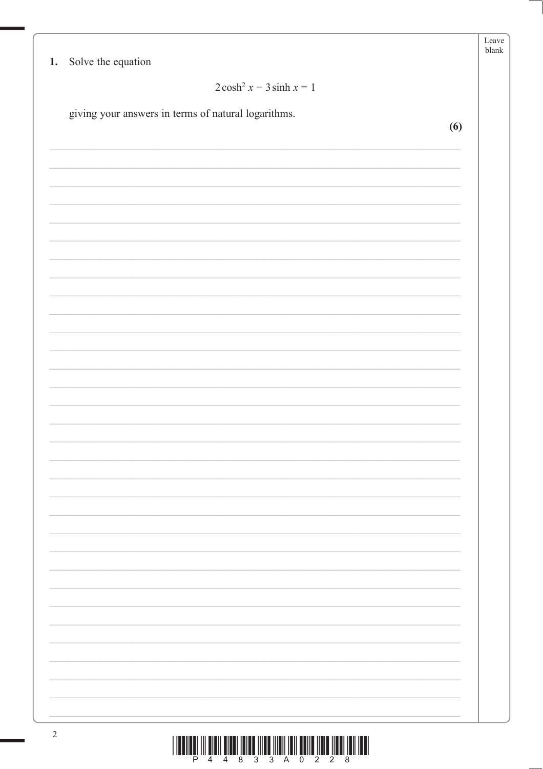| $2\cosh^2 x - 3\sinh x = 1$                         |     |
|-----------------------------------------------------|-----|
| giving your answers in terms of natural logarithms. |     |
|                                                     | (6) |
|                                                     |     |
|                                                     |     |
|                                                     |     |
|                                                     |     |
|                                                     |     |
|                                                     |     |
|                                                     |     |
|                                                     |     |
|                                                     |     |
|                                                     |     |
|                                                     |     |
|                                                     |     |
|                                                     |     |
|                                                     |     |
|                                                     |     |
|                                                     |     |
|                                                     |     |
|                                                     |     |
|                                                     |     |
|                                                     |     |
|                                                     |     |
|                                                     |     |
|                                                     |     |
|                                                     |     |
|                                                     |     |
|                                                     |     |
|                                                     |     |
|                                                     |     |
|                                                     |     |
|                                                     |     |
|                                                     |     |
|                                                     |     |
|                                                     |     |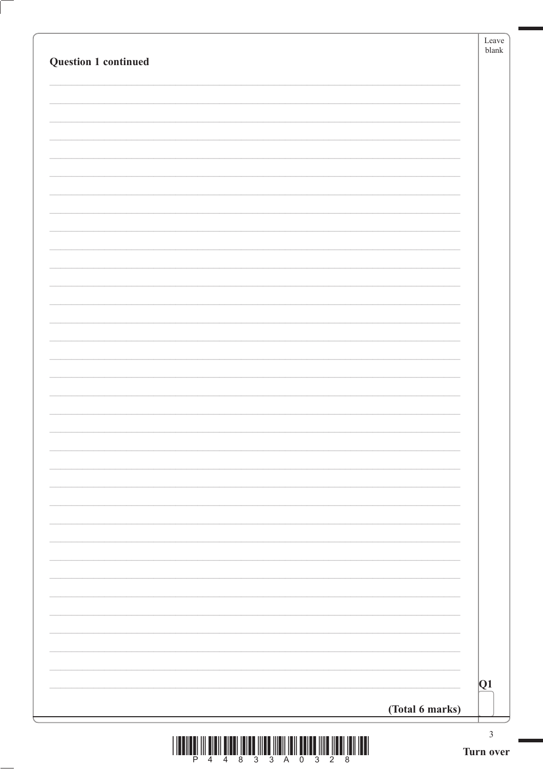| Question 1 continued |                 |    |
|----------------------|-----------------|----|
|                      |                 |    |
|                      |                 |    |
|                      |                 |    |
|                      |                 |    |
|                      |                 |    |
|                      |                 |    |
|                      |                 |    |
|                      |                 |    |
|                      |                 |    |
|                      |                 |    |
|                      |                 |    |
|                      |                 |    |
|                      |                 |    |
|                      |                 |    |
|                      |                 |    |
|                      |                 |    |
|                      |                 |    |
|                      |                 |    |
|                      |                 |    |
|                      |                 |    |
|                      |                 | Q1 |
|                      | (Total 6 marks) |    |

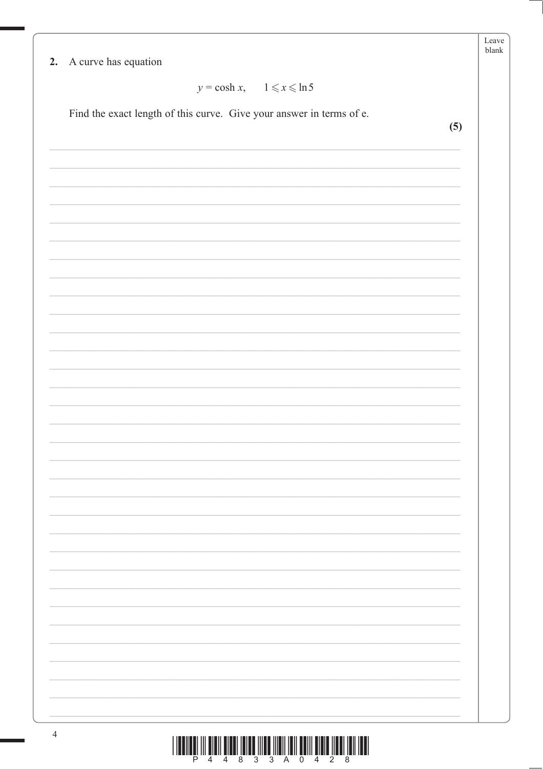| 2. A curve has equation                                              |     |
|----------------------------------------------------------------------|-----|
| $y = \cosh x$ , $1 \le x \le \ln 5$                                  |     |
| Find the exact length of this curve. Give your answer in terms of e. |     |
|                                                                      | (5) |
|                                                                      |     |
|                                                                      |     |
|                                                                      |     |
|                                                                      |     |
|                                                                      |     |
|                                                                      |     |
|                                                                      |     |
|                                                                      |     |
|                                                                      |     |
|                                                                      |     |
|                                                                      |     |
|                                                                      |     |
|                                                                      |     |
|                                                                      |     |
|                                                                      |     |
|                                                                      |     |
|                                                                      |     |
|                                                                      |     |
|                                                                      |     |
|                                                                      |     |
|                                                                      |     |
|                                                                      |     |
|                                                                      |     |
|                                                                      |     |
|                                                                      |     |
|                                                                      |     |
|                                                                      |     |
|                                                                      |     |
|                                                                      |     |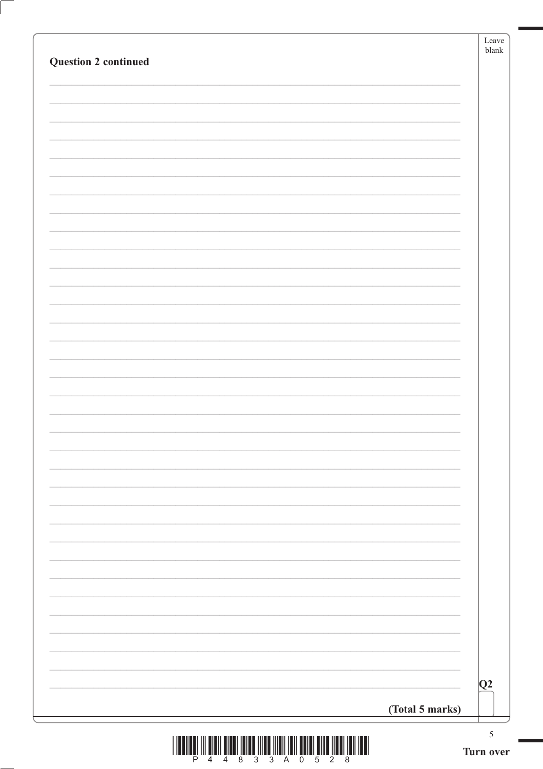|                             | (Total 5 marks) | 5<br>Turn over |
|-----------------------------|-----------------|----------------|
|                             |                 | Q2             |
|                             |                 |                |
|                             |                 |                |
|                             |                 |                |
|                             |                 |                |
|                             |                 |                |
|                             |                 |                |
|                             |                 |                |
|                             |                 |                |
|                             |                 |                |
|                             |                 |                |
|                             |                 |                |
|                             |                 |                |
|                             |                 |                |
|                             |                 |                |
|                             |                 |                |
|                             |                 |                |
| <b>Question 2 continued</b> |                 | blank          |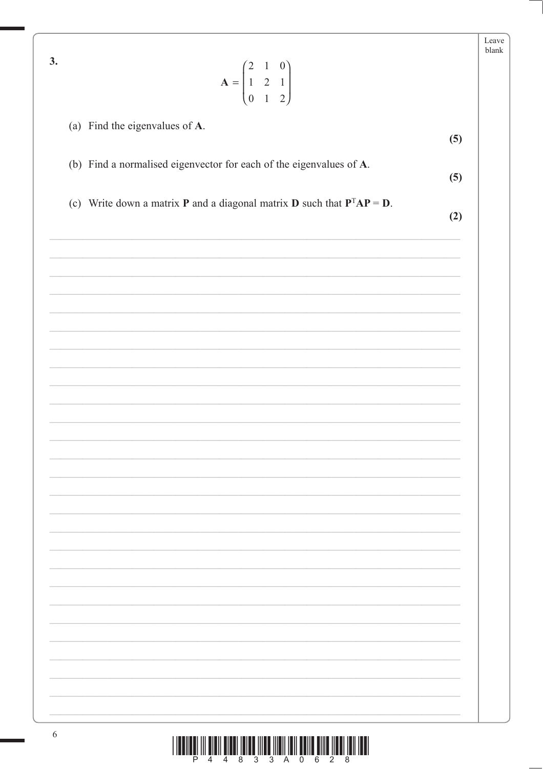| 3.                                                                                        | Leave<br>blank |
|-------------------------------------------------------------------------------------------|----------------|
| $A = \begin{pmatrix} 2 & 1 & 0 \\ 1 & 2 & 1 \\ 0 & 1 & 2 \end{pmatrix}$                   |                |
| (a) Find the eigenvalues of A.                                                            | (5)            |
| (b) Find a normalised eigenvector for each of the eigenvalues of A.                       | (5)            |
| (c) Write down a matrix <b>P</b> and a diagonal matrix <b>D</b> such that $P^{T}AP = D$ . | (2)            |
|                                                                                           |                |
|                                                                                           |                |
|                                                                                           |                |
|                                                                                           |                |
|                                                                                           |                |
|                                                                                           |                |
|                                                                                           |                |
|                                                                                           |                |
|                                                                                           |                |
|                                                                                           |                |
|                                                                                           |                |
|                                                                                           |                |
|                                                                                           |                |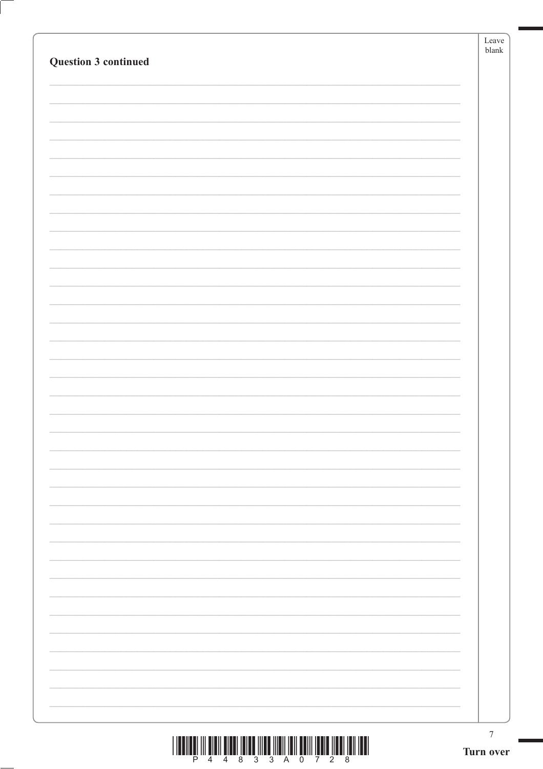|  | $\boldsymbol{7}$<br>Turn over |
|--|-------------------------------|
|  |                               |
|  |                               |
|  |                               |
|  |                               |
|  |                               |
|  |                               |
|  |                               |
|  |                               |
|  |                               |
|  |                               |
|  |                               |
|  |                               |
|  |                               |
|  |                               |
|  |                               |
|  |                               |
|  |                               |
|  |                               |
|  |                               |
|  |                               |
|  |                               |
|  |                               |
|  |                               |
|  |                               |
|  |                               |
|  |                               |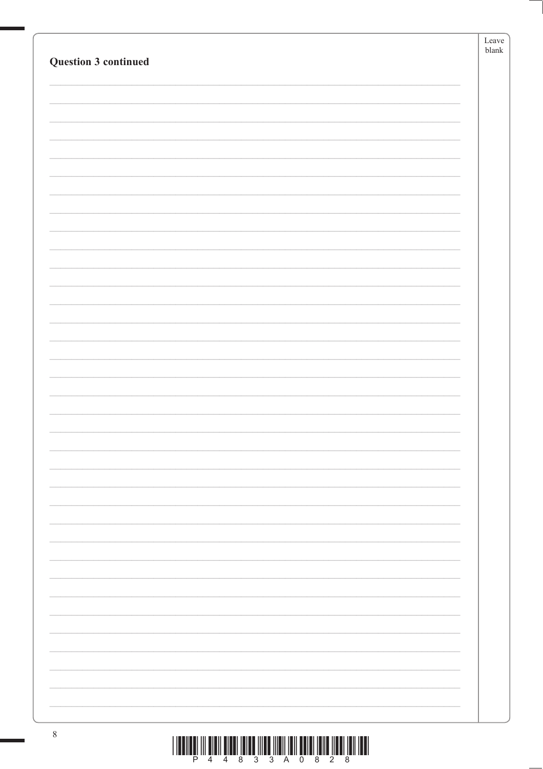|                      | Leave                         |
|----------------------|-------------------------------|
| Question 3 continued | $\ensuremath{\textrm{blank}}$ |
|                      |                               |
|                      |                               |
|                      |                               |
|                      |                               |
|                      |                               |
|                      |                               |
|                      |                               |
|                      |                               |
|                      |                               |
|                      |                               |
|                      |                               |
|                      |                               |
|                      |                               |
|                      |                               |
|                      |                               |
|                      |                               |
|                      |                               |
|                      |                               |
|                      |                               |
|                      |                               |
|                      |                               |
|                      |                               |
|                      |                               |
|                      |                               |
|                      |                               |
|                      |                               |
|                      |                               |
|                      |                               |
|                      |                               |
|                      |                               |
|                      |                               |
|                      |                               |
|                      |                               |
|                      |                               |
|                      |                               |
|                      |                               |
|                      |                               |
|                      |                               |
|                      |                               |
|                      |                               |
|                      |                               |
|                      |                               |
|                      |                               |
| $8\,$                |                               |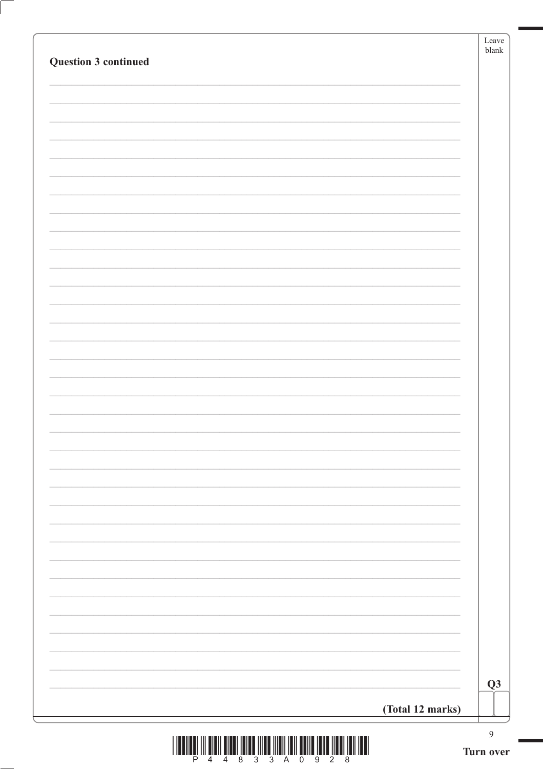| Question 3 continued                                                                                                                                                                                 |                  | Leave<br>blank |
|------------------------------------------------------------------------------------------------------------------------------------------------------------------------------------------------------|------------------|----------------|
|                                                                                                                                                                                                      |                  |                |
|                                                                                                                                                                                                      |                  |                |
|                                                                                                                                                                                                      |                  |                |
|                                                                                                                                                                                                      |                  |                |
|                                                                                                                                                                                                      |                  |                |
|                                                                                                                                                                                                      |                  |                |
|                                                                                                                                                                                                      |                  |                |
|                                                                                                                                                                                                      |                  |                |
|                                                                                                                                                                                                      |                  |                |
|                                                                                                                                                                                                      |                  |                |
|                                                                                                                                                                                                      |                  |                |
|                                                                                                                                                                                                      |                  |                |
|                                                                                                                                                                                                      |                  |                |
|                                                                                                                                                                                                      |                  |                |
|                                                                                                                                                                                                      |                  |                |
|                                                                                                                                                                                                      |                  |                |
|                                                                                                                                                                                                      |                  |                |
|                                                                                                                                                                                                      |                  | Q3             |
|                                                                                                                                                                                                      | (Total 12 marks) | $\overline{9}$ |
| $\begin{array}{c} \begin{array}{c} \begin{array}{c} \end{array} \\ \begin{array}{c} \end{array} \\ \begin{array}{c} \end{array} \\ \begin{array}{c} \end{array} \end{array} \end{array} \end{array}$ |                  | Turn over      |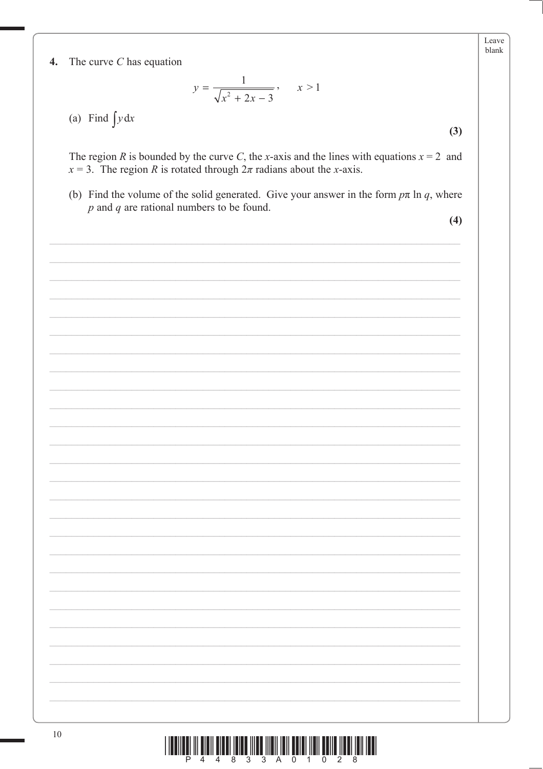$\boldsymbol{4}$ . The curve  $C$  has equation

$$
y = \frac{1}{\sqrt{x^2 + 2x - 3}}, \qquad x > 1
$$

(a) Find  $\int y dx$ 

The region R is bounded by the curve C, the x-axis and the lines with equations  $x = 2$  and  $x = 3$ . The region R is rotated through  $2\pi$  radians about the x-axis.

(b) Find the volume of the solid generated. Give your answer in the form  $p\pi \ln q$ , where  $p$  and  $q$  are rational numbers to be found.

 $(4)$ 

 $(3)$ 

Leave blank

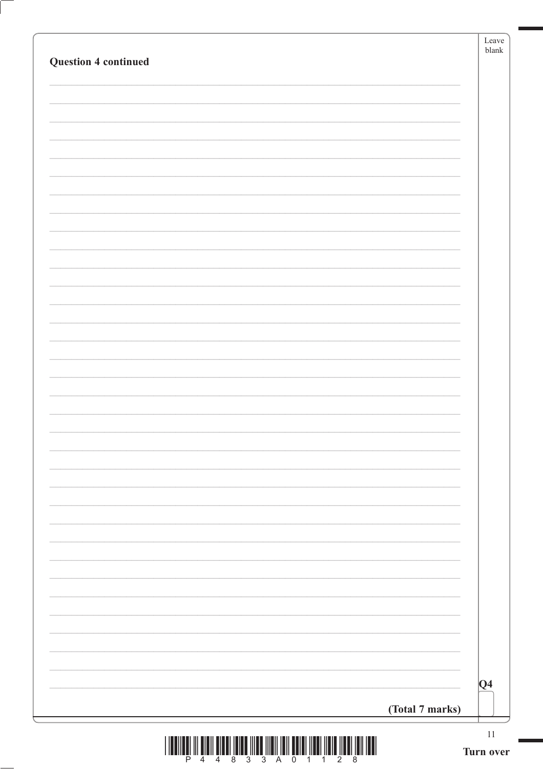|                 | $ Q_4 $ |
|-----------------|---------|
| (Total 7 marks) |         |

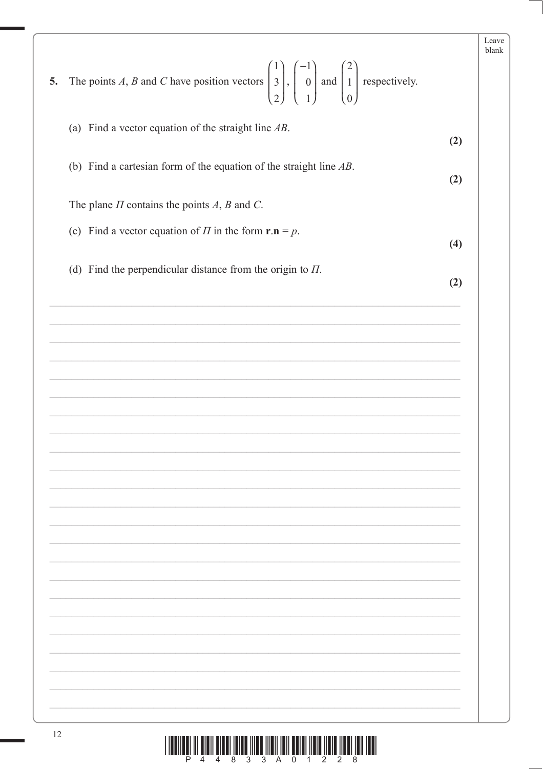| (a) Find a vector equation of the straight line $AB$ .                              | (2) |
|-------------------------------------------------------------------------------------|-----|
| (b) Find a cartesian form of the equation of the straight line $AB$ .               | (2) |
| The plane $\Pi$ contains the points $A$ , $B$ and $C$ .                             |     |
| (c) Find a vector equation of $\Pi$ in the form $\mathbf{r} \cdot \mathbf{n} = p$ . | (4) |
| (d) Find the perpendicular distance from the origin to $\Pi$ .                      | (2) |
|                                                                                     |     |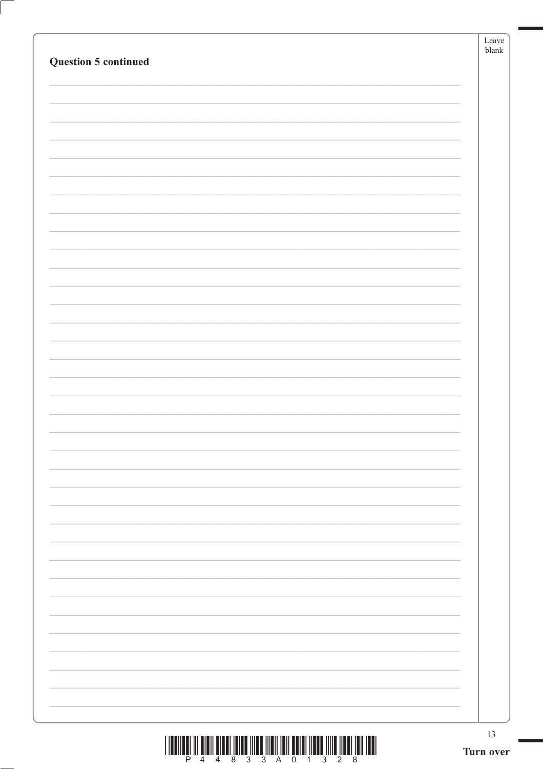|                             | Leave<br>$b$ lank |
|-----------------------------|-------------------|
| <b>Question 5 continued</b> |                   |
|                             |                   |
|                             |                   |
|                             |                   |
|                             |                   |
|                             |                   |
|                             |                   |
|                             |                   |
|                             |                   |
|                             |                   |
|                             |                   |
|                             |                   |
|                             |                   |
|                             |                   |
|                             |                   |
|                             |                   |
|                             |                   |
|                             |                   |
|                             |                   |
|                             |                   |
|                             |                   |
|                             |                   |
|                             |                   |
|                             |                   |
|                             |                   |
|                             |                   |
|                             |                   |
|                             |                   |
|                             |                   |
|                             |                   |
|                             |                   |
|                             |                   |
|                             |                   |
|                             | 13<br>Turn over   |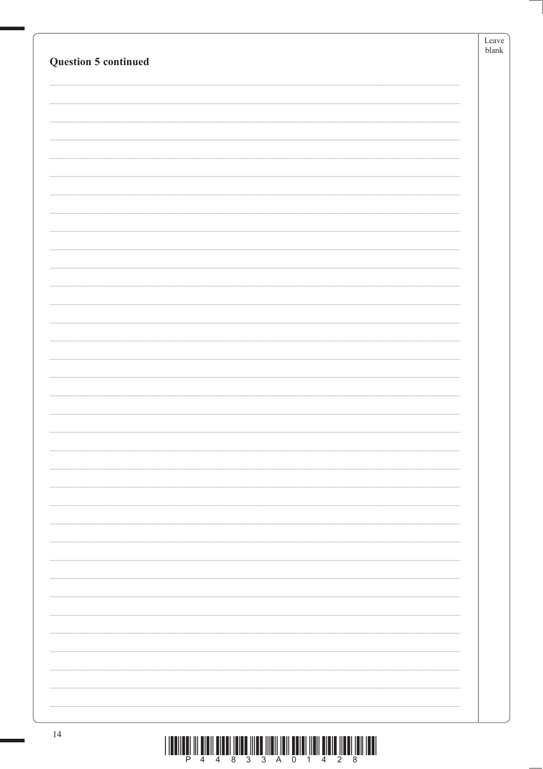|                             | Leave         |
|-----------------------------|---------------|
| <b>Question 5 continued</b> | ${\tt blank}$ |
|                             |               |
|                             |               |
|                             |               |
|                             |               |
|                             |               |
|                             |               |
|                             |               |
|                             |               |
|                             |               |
|                             |               |
|                             |               |
|                             |               |
|                             |               |
|                             |               |
|                             |               |
|                             |               |
|                             |               |
|                             |               |
|                             |               |
|                             |               |
|                             |               |
|                             |               |
|                             |               |
|                             |               |
|                             |               |
|                             |               |
|                             |               |
|                             |               |
|                             |               |
|                             |               |
|                             |               |
|                             |               |
|                             |               |
|                             |               |
|                             |               |
|                             |               |
|                             |               |
|                             |               |
|                             |               |
|                             |               |
|                             |               |
|                             |               |
|                             |               |
|                             |               |
| 14                          |               |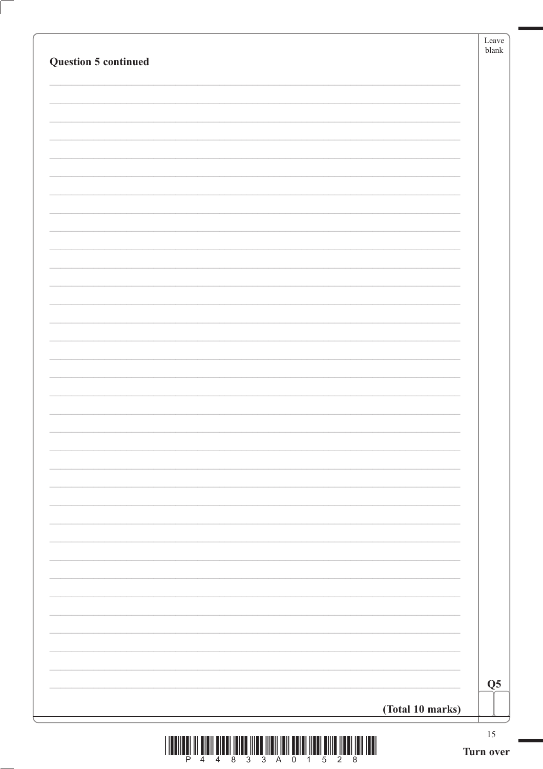| Question 5 continued |                  |                |
|----------------------|------------------|----------------|
|                      |                  |                |
|                      |                  |                |
|                      |                  |                |
|                      |                  |                |
|                      |                  |                |
|                      |                  |                |
|                      |                  |                |
|                      |                  |                |
|                      |                  |                |
|                      |                  |                |
|                      |                  |                |
|                      |                  |                |
|                      |                  |                |
|                      |                  |                |
|                      |                  |                |
|                      |                  |                |
|                      |                  |                |
|                      |                  |                |
|                      |                  |                |
|                      |                  |                |
|                      |                  |                |
|                      |                  |                |
|                      |                  |                |
|                      |                  |                |
|                      |                  | Q <sub>5</sub> |
|                      | (Total 10 marks) |                |

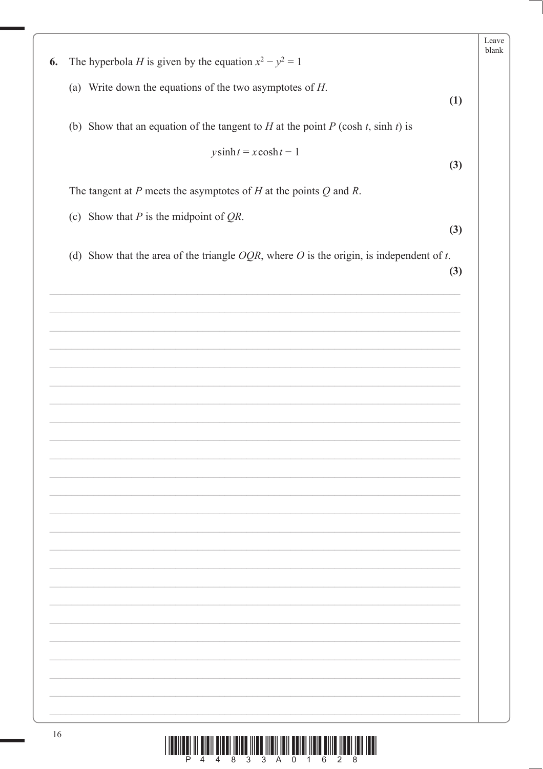| The hyperbola <i>H</i> is given by the equation $x^2 - y^2 = 1$<br>6.<br>(a) Write down the equations of the two asymptotes of $H$ .<br>(1)<br>(b) Show that an equation of the tangent to $H$ at the point $P$ (cosh $t$ , sinh $t$ ) is<br>$y \sinh t = x \cosh t - 1$<br>(3)<br>The tangent at $P$ meets the asymptotes of $H$ at the points $Q$ and $R$ .<br>(c) Show that $P$ is the midpoint of $QR$ .<br>(3)<br>(d) Show that the area of the triangle $OQR$ , where O is the origin, is independent of t.<br>(3) |  | Leave<br>blank |
|--------------------------------------------------------------------------------------------------------------------------------------------------------------------------------------------------------------------------------------------------------------------------------------------------------------------------------------------------------------------------------------------------------------------------------------------------------------------------------------------------------------------------|--|----------------|
|                                                                                                                                                                                                                                                                                                                                                                                                                                                                                                                          |  |                |
|                                                                                                                                                                                                                                                                                                                                                                                                                                                                                                                          |  |                |
|                                                                                                                                                                                                                                                                                                                                                                                                                                                                                                                          |  |                |
|                                                                                                                                                                                                                                                                                                                                                                                                                                                                                                                          |  |                |
|                                                                                                                                                                                                                                                                                                                                                                                                                                                                                                                          |  |                |
|                                                                                                                                                                                                                                                                                                                                                                                                                                                                                                                          |  |                |
|                                                                                                                                                                                                                                                                                                                                                                                                                                                                                                                          |  |                |
|                                                                                                                                                                                                                                                                                                                                                                                                                                                                                                                          |  |                |
|                                                                                                                                                                                                                                                                                                                                                                                                                                                                                                                          |  |                |
|                                                                                                                                                                                                                                                                                                                                                                                                                                                                                                                          |  |                |
|                                                                                                                                                                                                                                                                                                                                                                                                                                                                                                                          |  |                |
|                                                                                                                                                                                                                                                                                                                                                                                                                                                                                                                          |  |                |
|                                                                                                                                                                                                                                                                                                                                                                                                                                                                                                                          |  |                |
|                                                                                                                                                                                                                                                                                                                                                                                                                                                                                                                          |  |                |
|                                                                                                                                                                                                                                                                                                                                                                                                                                                                                                                          |  |                |
|                                                                                                                                                                                                                                                                                                                                                                                                                                                                                                                          |  |                |
|                                                                                                                                                                                                                                                                                                                                                                                                                                                                                                                          |  |                |
|                                                                                                                                                                                                                                                                                                                                                                                                                                                                                                                          |  |                |
|                                                                                                                                                                                                                                                                                                                                                                                                                                                                                                                          |  |                |
|                                                                                                                                                                                                                                                                                                                                                                                                                                                                                                                          |  |                |
|                                                                                                                                                                                                                                                                                                                                                                                                                                                                                                                          |  |                |
|                                                                                                                                                                                                                                                                                                                                                                                                                                                                                                                          |  |                |
|                                                                                                                                                                                                                                                                                                                                                                                                                                                                                                                          |  |                |
|                                                                                                                                                                                                                                                                                                                                                                                                                                                                                                                          |  |                |
|                                                                                                                                                                                                                                                                                                                                                                                                                                                                                                                          |  |                |
|                                                                                                                                                                                                                                                                                                                                                                                                                                                                                                                          |  |                |
|                                                                                                                                                                                                                                                                                                                                                                                                                                                                                                                          |  |                |
|                                                                                                                                                                                                                                                                                                                                                                                                                                                                                                                          |  |                |
|                                                                                                                                                                                                                                                                                                                                                                                                                                                                                                                          |  |                |
|                                                                                                                                                                                                                                                                                                                                                                                                                                                                                                                          |  |                |
|                                                                                                                                                                                                                                                                                                                                                                                                                                                                                                                          |  |                |
|                                                                                                                                                                                                                                                                                                                                                                                                                                                                                                                          |  |                |
|                                                                                                                                                                                                                                                                                                                                                                                                                                                                                                                          |  |                |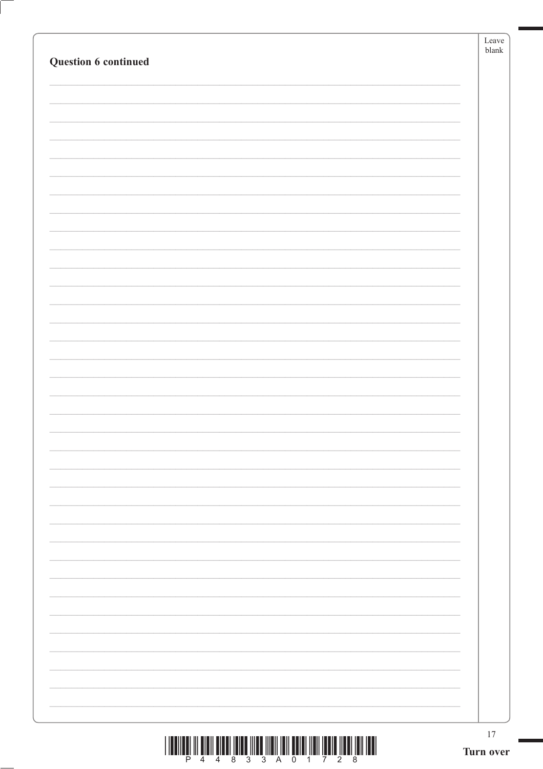| $\begin{array}{c} \text{if} \ \text{if} \ \text{if} \ \text{if} \ \text{if} \ \text{if} \ \text{if} \ \text{if} \ \text{if} \ \text{if} \ \text{if} \ \text{if} \ \text{if} \ \text{if} \ \text{if} \ \text{if} \ \text{if} \ \text{if} \ \text{if} \ \text{if} \ \text{if} \ \text{if} \ \text{if} \ \text{if} \ \text{if} \ \text{if} \ \text{if} \ \text{if} \ \text{if} \ \text{if} \ \text{if} \ \text{if} \ \text{if} \ \text{if} \ \text{if} \ \text{$ | 17<br>Turn over |
|---------------------------------------------------------------------------------------------------------------------------------------------------------------------------------------------------------------------------------------------------------------------------------------------------------------------------------------------------------------------------------------------------------------------------------------------------------------|-----------------|
|                                                                                                                                                                                                                                                                                                                                                                                                                                                               |                 |
|                                                                                                                                                                                                                                                                                                                                                                                                                                                               |                 |
|                                                                                                                                                                                                                                                                                                                                                                                                                                                               |                 |
|                                                                                                                                                                                                                                                                                                                                                                                                                                                               |                 |
|                                                                                                                                                                                                                                                                                                                                                                                                                                                               |                 |
|                                                                                                                                                                                                                                                                                                                                                                                                                                                               |                 |
|                                                                                                                                                                                                                                                                                                                                                                                                                                                               |                 |
|                                                                                                                                                                                                                                                                                                                                                                                                                                                               |                 |
|                                                                                                                                                                                                                                                                                                                                                                                                                                                               |                 |
|                                                                                                                                                                                                                                                                                                                                                                                                                                                               |                 |
|                                                                                                                                                                                                                                                                                                                                                                                                                                                               |                 |
|                                                                                                                                                                                                                                                                                                                                                                                                                                                               |                 |
|                                                                                                                                                                                                                                                                                                                                                                                                                                                               |                 |
|                                                                                                                                                                                                                                                                                                                                                                                                                                                               |                 |
|                                                                                                                                                                                                                                                                                                                                                                                                                                                               |                 |
|                                                                                                                                                                                                                                                                                                                                                                                                                                                               |                 |
|                                                                                                                                                                                                                                                                                                                                                                                                                                                               |                 |
|                                                                                                                                                                                                                                                                                                                                                                                                                                                               |                 |
|                                                                                                                                                                                                                                                                                                                                                                                                                                                               |                 |
|                                                                                                                                                                                                                                                                                                                                                                                                                                                               |                 |
|                                                                                                                                                                                                                                                                                                                                                                                                                                                               |                 |
|                                                                                                                                                                                                                                                                                                                                                                                                                                                               |                 |
| Question 6 continued                                                                                                                                                                                                                                                                                                                                                                                                                                          | blank           |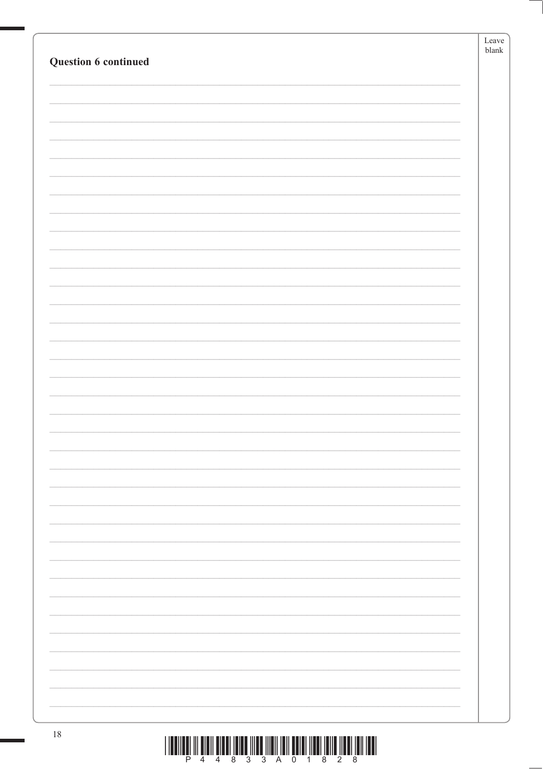|                                                                                                                                                                                                                                                                                                                                                                                                                                                      | Leave<br>${\tt blank}$ |
|------------------------------------------------------------------------------------------------------------------------------------------------------------------------------------------------------------------------------------------------------------------------------------------------------------------------------------------------------------------------------------------------------------------------------------------------------|------------------------|
| Question 6 continued                                                                                                                                                                                                                                                                                                                                                                                                                                 |                        |
|                                                                                                                                                                                                                                                                                                                                                                                                                                                      |                        |
|                                                                                                                                                                                                                                                                                                                                                                                                                                                      |                        |
|                                                                                                                                                                                                                                                                                                                                                                                                                                                      |                        |
|                                                                                                                                                                                                                                                                                                                                                                                                                                                      |                        |
|                                                                                                                                                                                                                                                                                                                                                                                                                                                      |                        |
|                                                                                                                                                                                                                                                                                                                                                                                                                                                      |                        |
|                                                                                                                                                                                                                                                                                                                                                                                                                                                      |                        |
|                                                                                                                                                                                                                                                                                                                                                                                                                                                      |                        |
|                                                                                                                                                                                                                                                                                                                                                                                                                                                      |                        |
|                                                                                                                                                                                                                                                                                                                                                                                                                                                      |                        |
|                                                                                                                                                                                                                                                                                                                                                                                                                                                      |                        |
|                                                                                                                                                                                                                                                                                                                                                                                                                                                      |                        |
|                                                                                                                                                                                                                                                                                                                                                                                                                                                      |                        |
|                                                                                                                                                                                                                                                                                                                                                                                                                                                      |                        |
|                                                                                                                                                                                                                                                                                                                                                                                                                                                      |                        |
|                                                                                                                                                                                                                                                                                                                                                                                                                                                      |                        |
|                                                                                                                                                                                                                                                                                                                                                                                                                                                      |                        |
|                                                                                                                                                                                                                                                                                                                                                                                                                                                      |                        |
|                                                                                                                                                                                                                                                                                                                                                                                                                                                      |                        |
|                                                                                                                                                                                                                                                                                                                                                                                                                                                      |                        |
|                                                                                                                                                                                                                                                                                                                                                                                                                                                      |                        |
|                                                                                                                                                                                                                                                                                                                                                                                                                                                      |                        |
|                                                                                                                                                                                                                                                                                                                                                                                                                                                      |                        |
|                                                                                                                                                                                                                                                                                                                                                                                                                                                      |                        |
|                                                                                                                                                                                                                                                                                                                                                                                                                                                      |                        |
|                                                                                                                                                                                                                                                                                                                                                                                                                                                      |                        |
|                                                                                                                                                                                                                                                                                                                                                                                                                                                      |                        |
|                                                                                                                                                                                                                                                                                                                                                                                                                                                      |                        |
|                                                                                                                                                                                                                                                                                                                                                                                                                                                      |                        |
|                                                                                                                                                                                                                                                                                                                                                                                                                                                      |                        |
|                                                                                                                                                                                                                                                                                                                                                                                                                                                      |                        |
|                                                                                                                                                                                                                                                                                                                                                                                                                                                      |                        |
|                                                                                                                                                                                                                                                                                                                                                                                                                                                      |                        |
|                                                                                                                                                                                                                                                                                                                                                                                                                                                      |                        |
|                                                                                                                                                                                                                                                                                                                                                                                                                                                      |                        |
|                                                                                                                                                                                                                                                                                                                                                                                                                                                      |                        |
|                                                                                                                                                                                                                                                                                                                                                                                                                                                      |                        |
|                                                                                                                                                                                                                                                                                                                                                                                                                                                      |                        |
| $18\,$<br>$\begin{smallmatrix} \color{blue} 1 & 1 & \text{min} & 1 & 1 & \text{min} & 1 & \text{min} & 1 & \text{min} & 1 & \text{min} & 1 & \text{min} & 1 & \text{min} & 1 & \text{min} & 1 & \text{min} & 1 & \text{min} & 1 & \text{min} & 1 & \text{min} & 1 & \text{min} & 1 & \text{min} & 1 & \text{min} & 1 & \text{min} & 1 & \text{min} & 1 & \text{min} & 1 & \text{min} & 1 & \text{min} & 1 & \text{min} & 1 & \text{min} & 1 & \text$ |                        |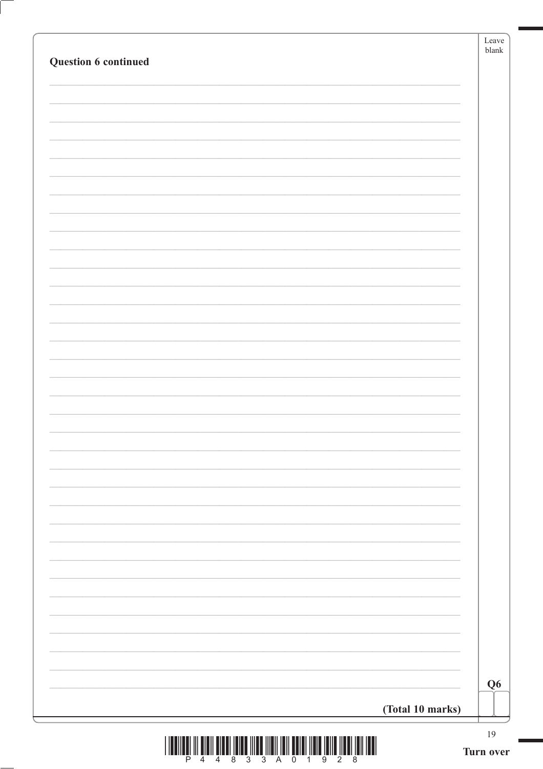| Question 6 continued |                  | Leave<br>$\ensuremath{\textrm{blank}}$ |
|----------------------|------------------|----------------------------------------|
|                      |                  |                                        |
|                      |                  |                                        |
|                      |                  |                                        |
|                      |                  |                                        |
|                      |                  |                                        |
|                      |                  |                                        |
|                      |                  |                                        |
|                      |                  |                                        |
|                      |                  |                                        |
|                      |                  |                                        |
|                      |                  |                                        |
|                      |                  |                                        |
|                      |                  |                                        |
|                      |                  |                                        |
|                      |                  |                                        |
|                      |                  |                                        |
|                      |                  |                                        |
|                      |                  |                                        |
|                      |                  |                                        |
|                      |                  |                                        |
|                      |                  |                                        |
|                      |                  | Q <sub>6</sub>                         |
|                      | (Total 10 marks) |                                        |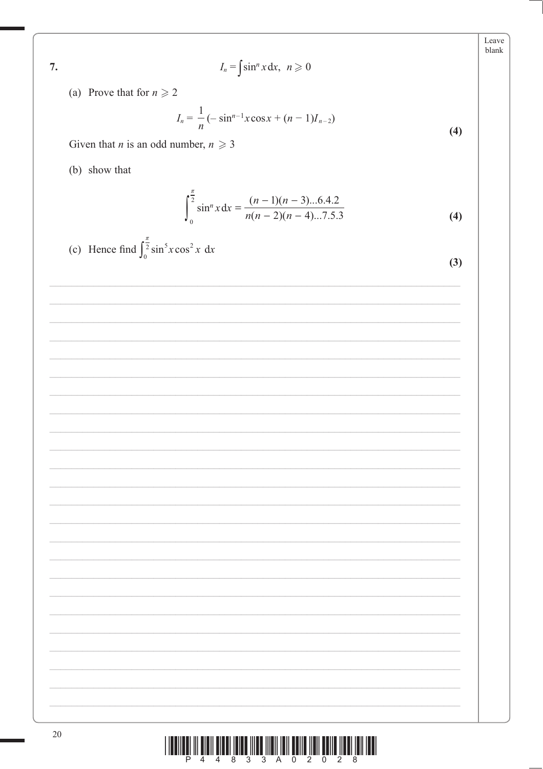| I |  |   |
|---|--|---|
|   |  | I |

 $I_n = \int \sin^n x dx, \ \ n \geq 0$ 

(a) Prove that for  $n \ge 2$ 

$$
I_n = \frac{1}{n} \left( -\sin^{n-1} x \cos x + (n-1) I_{n-2} \right)
$$

Given that *n* is an odd number,  $n \ge 3$ 

(b) show that

$$
\int_{0}^{\frac{\pi}{2}} \sin^{n} x \, dx = \frac{(n-1)(n-3)...6.4.2}{n(n-2)(n-4)...7.5.3}
$$
 (4)

(c) Hence find 
$$
\int_0^{\frac{\pi}{2}} \sin^5 x \cos^2 x \, dx
$$

| ۰.            |              |
|---------------|--------------|
| ۰,<br>۰.<br>× |              |
| ×<br>×        | i<br>۰.<br>٠ |

 $(4)$ 

| <u> I III dheer is an amaan isaacaan isaacaan isaacaan isaacaan isaacaan isaacaan isaacaan isaacaan isaacaan isaa</u> |  |                         |  |  |  |  |  |
|-----------------------------------------------------------------------------------------------------------------------|--|-------------------------|--|--|--|--|--|
|                                                                                                                       |  | P 4 4 8 3 3 A 0 2 0 2 8 |  |  |  |  |  |

Leave blank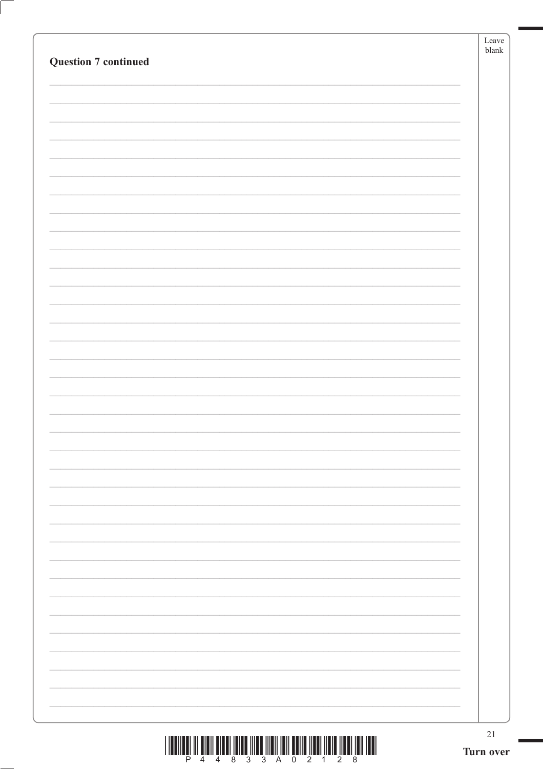|                             | 21<br>Turn over |
|-----------------------------|-----------------|
|                             |                 |
|                             |                 |
|                             |                 |
|                             |                 |
|                             |                 |
|                             |                 |
|                             |                 |
|                             |                 |
|                             |                 |
|                             |                 |
|                             |                 |
|                             |                 |
|                             |                 |
|                             |                 |
|                             |                 |
|                             |                 |
|                             |                 |
|                             |                 |
|                             |                 |
|                             |                 |
|                             |                 |
| <b>Question 7 continued</b> | $b$ lank        |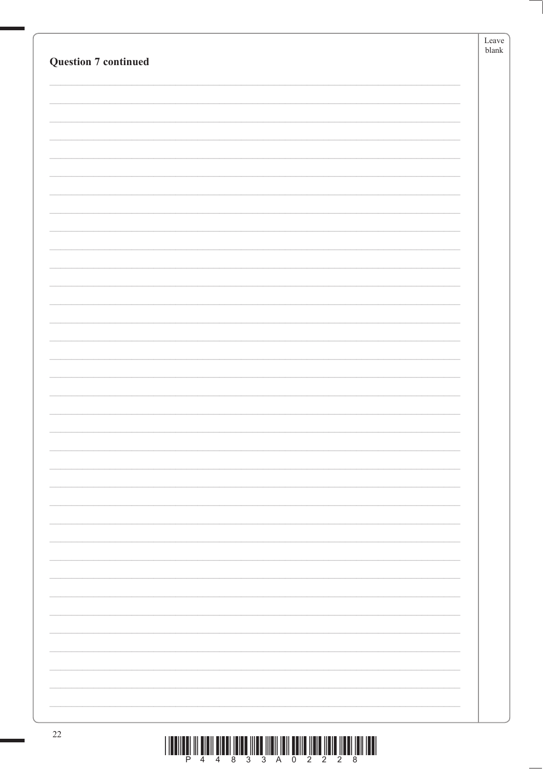| <b>Question 7 continued</b> | Leave<br>$b$ lank |
|-----------------------------|-------------------|
|                             |                   |
|                             |                   |
|                             |                   |
|                             |                   |
|                             |                   |
|                             |                   |
|                             |                   |
|                             |                   |
|                             |                   |
|                             |                   |
|                             |                   |
|                             |                   |
|                             |                   |
|                             |                   |
|                             |                   |
|                             |                   |
|                             |                   |
|                             |                   |
|                             |                   |
|                             |                   |
|                             |                   |
|                             |                   |
|                             |                   |
|                             |                   |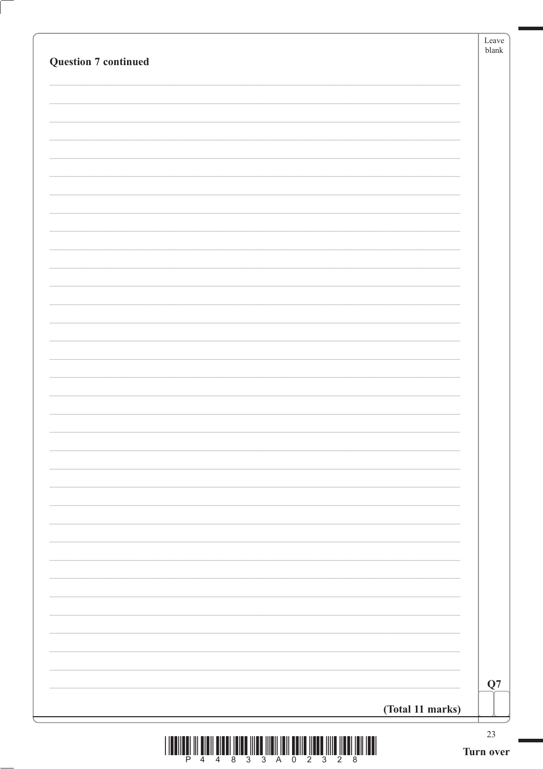| <b>Question 7 continued</b> |                  | Leave<br>$\ensuremath{\textrm{blank}}$ |
|-----------------------------|------------------|----------------------------------------|
|                             |                  |                                        |
|                             |                  |                                        |
|                             |                  |                                        |
|                             |                  |                                        |
|                             |                  |                                        |
|                             |                  |                                        |
|                             |                  |                                        |
|                             |                  |                                        |
|                             |                  |                                        |
|                             |                  |                                        |
|                             |                  |                                        |
|                             |                  |                                        |
|                             |                  |                                        |
|                             |                  |                                        |
|                             |                  |                                        |
|                             |                  |                                        |
|                             |                  |                                        |
|                             |                  |                                        |
|                             |                  |                                        |
|                             |                  |                                        |
|                             |                  |                                        |
|                             |                  |                                        |
|                             |                  |                                        |
|                             |                  |                                        |
|                             |                  |                                        |
|                             |                  |                                        |
|                             |                  |                                        |
|                             |                  | Q7                                     |
|                             | (Total 11 marks) |                                        |

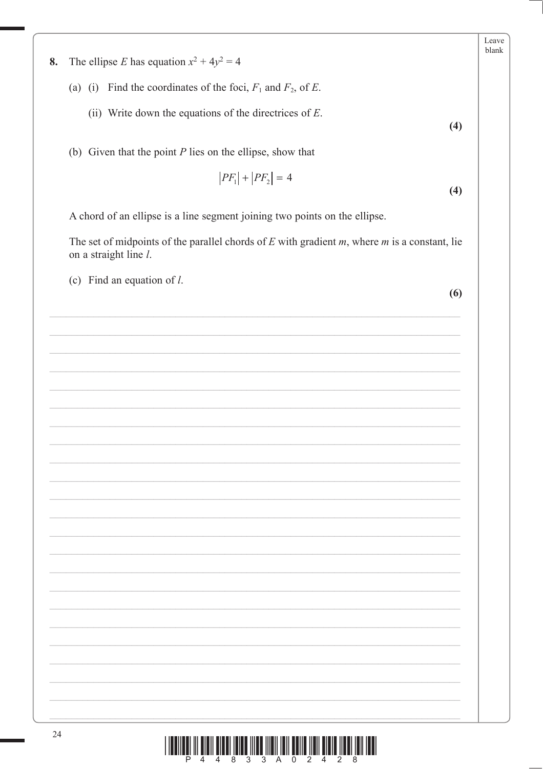The ellipse E has equation  $x^2 + 4y^2 = 4$ 8.

- (a) (i) Find the coordinates of the foci,  $F_1$  and  $F_2$ , of E.
	- (ii) Write down the equations of the directrices of  $E$ .
- (b) Given that the point  $P$  lies on the ellipse, show that

$$
|PF_1| + |PF_2| = 4
$$
\n(4)

A chord of an ellipse is a line segment joining two points on the ellipse.

The set of midpoints of the parallel chords of  $E$  with gradient  $m$ , where  $m$  is a constant, lie on a straight line *l*.

(c) Find an equation of  $l$ .

 $(6)$ 

 $(4)$ 

Leave blank

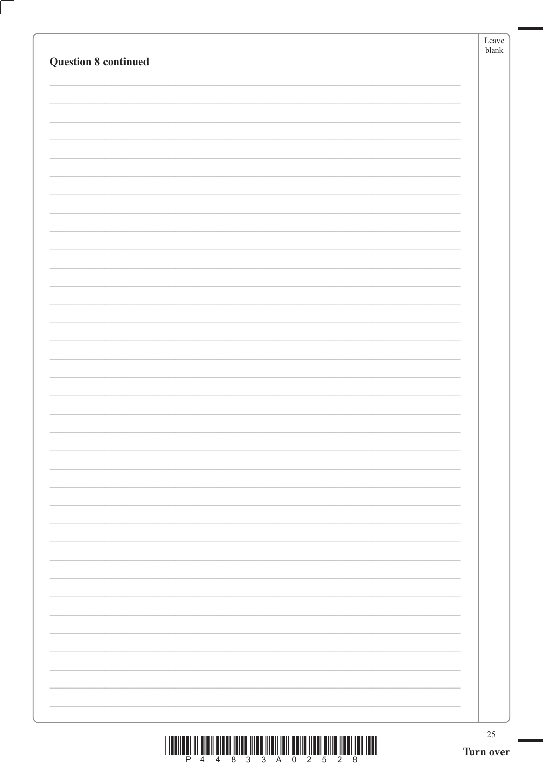| <b>Question 8 continued</b> | Leave<br>$b$ lank |
|-----------------------------|-------------------|
|                             |                   |
|                             |                   |
|                             |                   |
|                             |                   |
|                             |                   |
|                             |                   |
|                             |                   |
|                             |                   |
|                             |                   |
|                             |                   |
|                             |                   |
|                             |                   |
|                             |                   |
|                             |                   |
|                             |                   |
|                             |                   |
|                             |                   |
|                             |                   |
|                             |                   |
|                             |                   |
|                             |                   |
|                             |                   |
|                             |                   |
|                             |                   |
|                             |                   |
|                             |                   |
|                             |                   |
|                             |                   |
|                             |                   |
|                             |                   |
|                             |                   |
|                             | 25                |
|                             | Turn over         |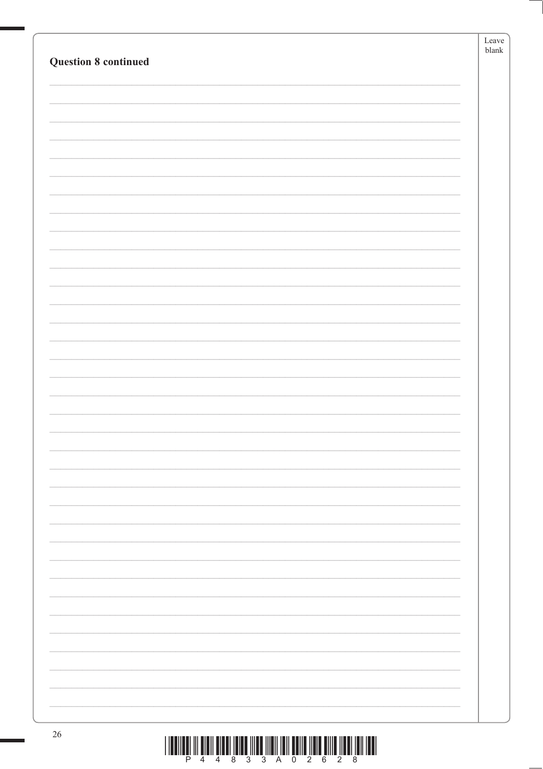|                             | Leave<br>blank |
|-----------------------------|----------------|
| <b>Question 8 continued</b> |                |
|                             |                |
|                             |                |
|                             |                |
|                             |                |
|                             |                |
|                             |                |
|                             |                |
|                             |                |
|                             |                |
|                             |                |
|                             |                |
|                             |                |
|                             |                |
|                             |                |
|                             |                |
|                             |                |
|                             |                |
|                             |                |
|                             |                |
|                             |                |
|                             |                |
|                             |                |
|                             |                |
|                             |                |
|                             |                |
|                             |                |
|                             |                |
| 26                          |                |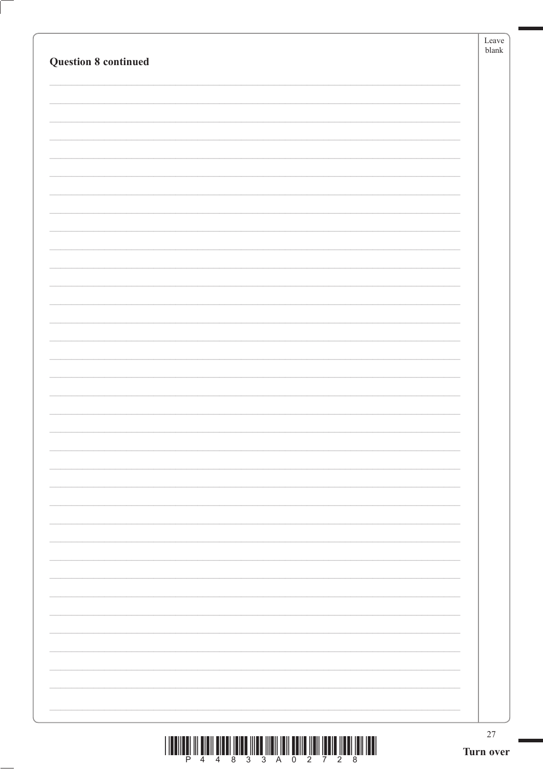|                             | $27\,$<br>Turn over |
|-----------------------------|---------------------|
|                             |                     |
|                             |                     |
|                             |                     |
|                             |                     |
|                             |                     |
|                             |                     |
|                             |                     |
|                             |                     |
|                             |                     |
|                             |                     |
|                             |                     |
|                             |                     |
|                             |                     |
|                             |                     |
|                             |                     |
|                             |                     |
|                             |                     |
|                             |                     |
|                             |                     |
|                             |                     |
|                             |                     |
|                             |                     |
|                             |                     |
|                             |                     |
|                             |                     |
| <b>Question 8 continued</b> |                     |